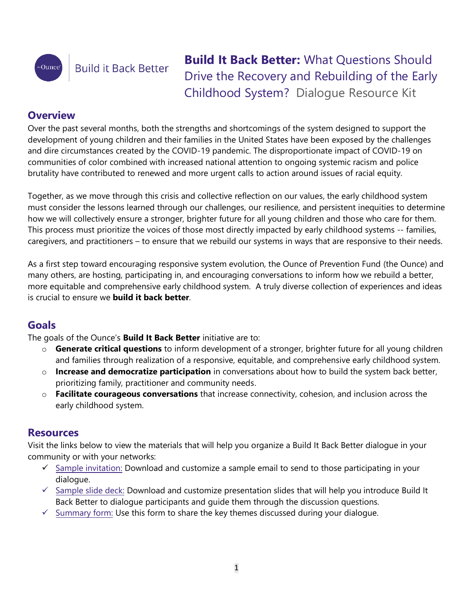

# **Build it Back Better**

**Build It Back Better:** What Questions Should Drive the Recovery and Rebuilding of the Early Childhood System? Dialogue Resource Kit

### **Overview**

Over the past several months, both the strengths and shortcomings of the system designed to support the development of young children and their families in the United States have been exposed by the challenges and dire circumstances created by the COVID-19 pandemic. The disproportionate impact of COVID-19 on communities of color combined with increased national attention to ongoing systemic racism and police brutality have contributed to renewed and more urgent calls to action around issues of racial equity.

Together, as we move through this crisis and collective reflection on our values, the early childhood system must consider the lessons learned through our challenges, our resilience, and persistent inequities to determine how we will collectively ensure a stronger, brighter future for all young children and those who care for them. This process must prioritize the voices of those most directly impacted by early childhood systems -- families, caregivers, and practitioners – to ensure that we rebuild our systems in ways that are responsive to their needs.

As a first step toward encouraging responsive system evolution, the Ounce of Prevention Fund (the Ounce) and many others, are hosting, participating in, and encouraging conversations to inform how we rebuild a better, more equitable and comprehensive early childhood system. A truly diverse collection of experiences and ideas is crucial to ensure we **build it back better**.

## **Goals**

The goals of the Ounce's **Build It Back Better** initiative are to:

- o **Generate critical questions** to inform development of a stronger, brighter future for all young children and families through realization of a responsive, equitable, and comprehensive early childhood system.
- o **Increase and democratize participation** in conversations about how to build the system back better, prioritizing family, practitioner and community needs.
- o **Facilitate courageous conversations** that increase connectivity, cohesion, and inclusion across the early childhood system.

### **Resources**

Visit the links below to view the materials that will help you organize a Build It Back Better dialogue in your community or with your networks:

- $\checkmark$  [Sample invitation:](https://docs.google.com/document/d/1pOvs3PQtJvsxVtgctKUIZVCgp3xMqcXgJ_TEzdQD03M/edit?usp=sharing) Download and customize a sample email to send to those participating in your dialogue.
- $\checkmark$  [Sample slide deck](https://www.theounce.org/wp-content/uploads/2020/07/BIBB-Dialogue-Toolkit-Slide-Deck_Final.pptx)[:](https://drive.google.com/file/d/1VGIoirKqO48CfgfV2lQDzmg4CmrBgjOl/view?usp=sharing) Download and customize presentation slides that will help you introduce Build It Back Better to dialogue participants and guide them through the discussion questions.
- $\checkmark$  [Summary form:](https://docs.google.com/forms/d/e/1FAIpQLSc8irPEzo3kD8trVsrWIakDOkWonPmsoJYfi7ttWW2YbneU3w/viewform) Use this form to share the key themes discussed during your dialogue.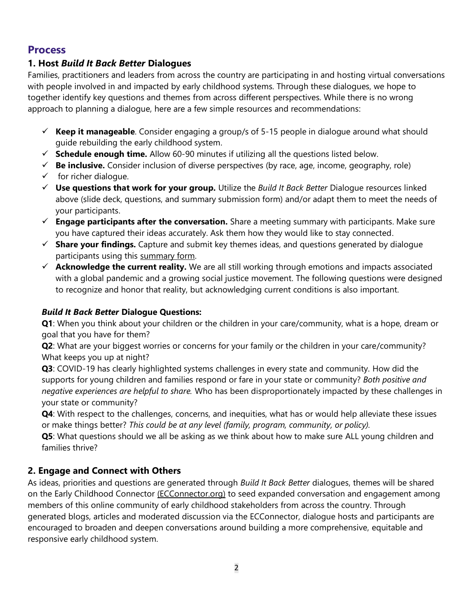#### **Process**

#### **1. Host** *Build It Back Better* **Dialogues**

Families, practitioners and leaders from across the country are participating in and hosting virtual conversations with people involved in and impacted by early childhood systems. Through these dialogues, we hope to together identify key questions and themes from across different perspectives. While there is no wrong approach to planning a dialogue, here are a few simple resources and recommendations:

- ✓ **Keep it manageable**. Consider engaging a group/s of 5-15 people in dialogue around what should guide rebuilding the early childhood system.
- $\checkmark$  **Schedule enough time.** Allow 60-90 minutes if utilizing all the questions listed below.
- ✓ **Be inclusive.** Consider inclusion of diverse perspectives (by race, age, income, geography, role)
- $\checkmark$  for richer dialogue.
- ✓ **Use questions that work for your group.** Utilize the *Build It Back Better* Dialogue resources linked above (slide deck, questions, and summary submission form) and/or adapt them to meet the needs of your participants.
- ✓ **Engage participants after the conversation.** Share a meeting summary with participants. Make sure you have captured their ideas accurately. Ask them how they would like to stay connected.
- ✓ **Share your findings.** Capture and submit key themes ideas, and questions generated by dialogue participants using this [summary form.](https://docs.google.com/forms/d/e/1FAIpQLSc8irPEzo3kD8trVsrWIakDOkWonPmsoJYfi7ttWW2YbneU3w/viewform)
- ✓ **Acknowledge the current reality.** We are all still working through emotions and impacts associated with a global pandemic and a growing social justice movement. The following questions were designed to recognize and honor that reality, but acknowledging current conditions is also important.

#### *Build It Back Better* **Dialogue Questions:**

**Q1**: When you think about your children or the children in your care/community, what is a hope, dream or goal that you have for them?

**Q2**: What are your biggest worries or concerns for your family or the children in your care/community? What keeps you up at night?

**Q3**: COVID-19 has clearly highlighted systems challenges in every state and community. How did the supports for young children and families respond or fare in your state or community? *Both positive and negative experiences are helpful to share.* Who has been disproportionately impacted by these challenges in your state or community?

**Q4**: With respect to the challenges, concerns, and inequities, what has or would help alleviate these issues or make things better? *This could be at any level (family, program, community, or policy).* 

**Q5**: What questions should we all be asking as we think about how to make sure ALL young children and families thrive?

### **2. Engage and Connect with Others**

As ideas, priorities and questions are generated through *Build It Back Better* dialogues, themes will be shared on the Early Childhood Connector [\(ECConnector.org\)](http://ecconnector.org/) to seed expanded conversation and engagement among members of this online community of early childhood stakeholders from across the country. Through generated blogs, articles and moderated discussion via the ECConnector, dialogue hosts and participants are encouraged to broaden and deepen conversations around building a more comprehensive, equitable and responsive early childhood system.